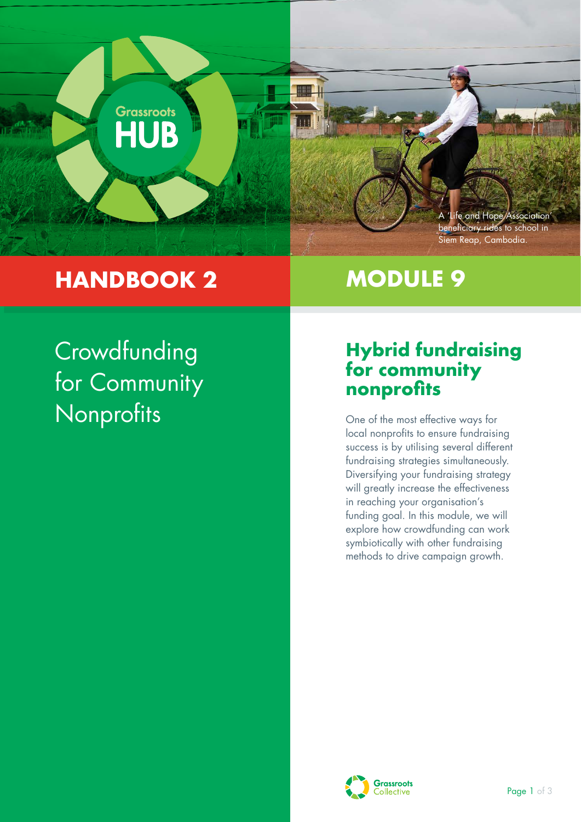

## **HANDBOOK 2**

# **MODULE 9**

**Crowdfunding** for Community Nonprofits

### **Hybrid fundraising for community nonprofits**

One of the most effective ways for local nonprofits to ensure fundraising success is by utilising several different fundraising strategies simultaneously. Diversifying your fundraising strategy will greatly increase the effectiveness in reaching your organisation's funding goal. In this module, we will explore how crowdfunding can work symbiotically with other fundraising methods to drive campaign growth.

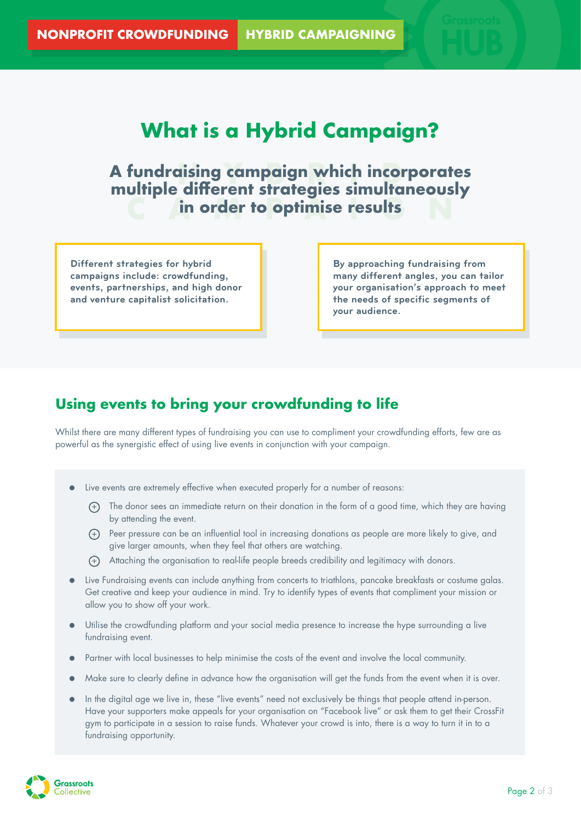**What is a Hybrid Campaign?**

## A fundraising campaign which incorporates<br>multiple different strategies simultaneously **CAMPAIGNS in order to optimise results multiple different strategies simultaneously**

**Different strategies for hybrid campaigns include: crowdfunding, events, partnerships, and high donor and venture capitalist solicitation.**

**By approaching fundraising from many different angles, you can tailor your organisation's approach to meet the needs of specific segments of your audience.**

#### **Using events to bring your crowdfunding to life**

Whilst there are many different types of fundraising you can use to compliment your crowdfunding efforts, few are as powerful as the synergistic effect of using live events in conjunction with your campaign.

- Live events are extremely effective when executed properly for a number of reasons:
	- + The donor sees an immediate return on their donation in the form of a good time, which they are having by attending the event.
	- + Peer pressure can be an influential tool in increasing donations as people are more likely to give, and give larger amounts, when they feel that others are watching.
	- + Attaching the organisation to real-life people breeds credibility and legitimacy with donors.
- Live Fundraising events can include anything from concerts to triathlons, pancake breakfasts or costume galas. Get creative and keep your audience in mind. Try to identify types of events that compliment your mission or allow you to show off your work.
- Utilise the crowdfunding platform and your social media presence to increase the hype surrounding a live fundraising event.
- Partner with local businesses to help minimise the costs of the event and involve the local community.
- Make sure to clearly define in advance how the organisation will get the funds from the event when it is over.
- In the digital age we live in, these "live events" need not exclusively be things that people attend in-person. Have your supporters make appeals for your organisation on "Facebook live" or ask them to get their CrossFit gym to participate in a session to raise funds. Whatever your crowd is into, there is a way to turn it in to a fundraising opportunity.